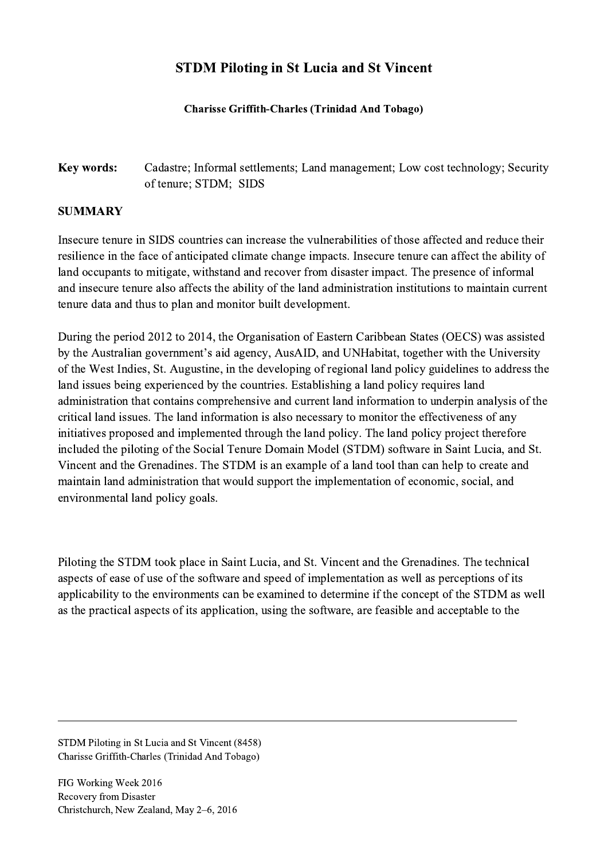## STDM Piloting in St Lucia and St Vincent

## Charisse Griffith-Charles (Trinidad And Tobago)

## Key words: Cadastre; Informal settlements; Land management; Low cost technology; Security of tenure; STDM; SIDS

## SUMMARY

Insecure tenure in SIDS countries can increase the vulnerabilities of those affected and reduce their resilience in the face of anticipated climate change impacts. Insecure tenure can affect the ability of land occupants to mitigate, withstand and recover from disaster impact. The presence of informal and insecure tenure also affects the ability of the land administration institutions to maintain current tenure data and thus to plan and monitor built development.

During the period 2012 to 2014, the Organisation of Eastern Caribbean States (OECS) was assisted by the Australian government's aid agency, AusAID, and UNHabitat, together with the University of the West Indies, St. Augustine, in the developing of regional land policy guidelines to address the land issues being experienced by the countries. Establishing a land policy requires land administration that contains comprehensive and current land information to underpin analysis of the critical land issues. The land information is also necessary to monitor the effectiveness of any initiatives proposed and implemented through the land policy. The land policy project therefore included the piloting of the Social Tenure Domain Model (STDM) software in Saint Lucia, and St. Vincent and the Grenadines. The STDM is an example of a land tool than can help to create and maintain land administration that would support the implementation of economic, social, and environmental land policy goals.

Piloting the STDM took place in Saint Lucia, and St. Vincent and the Grenadines. The technical aspects of ease of use of the software and speed of implementation as well as perceptions of its applicability to the environments can be examined to determine if the concept of the STDM as well as the practical aspects of its application, using the software, are feasible and acceptable to the

 $\mathcal{L}_\mathcal{L} = \{ \mathcal{L}_\mathcal{L} = \{ \mathcal{L}_\mathcal{L} = \{ \mathcal{L}_\mathcal{L} = \{ \mathcal{L}_\mathcal{L} = \{ \mathcal{L}_\mathcal{L} = \{ \mathcal{L}_\mathcal{L} = \{ \mathcal{L}_\mathcal{L} = \{ \mathcal{L}_\mathcal{L} = \{ \mathcal{L}_\mathcal{L} = \{ \mathcal{L}_\mathcal{L} = \{ \mathcal{L}_\mathcal{L} = \{ \mathcal{L}_\mathcal{L} = \{ \mathcal{L}_\mathcal{L} = \{ \mathcal{L}_\mathcal{$ 

STDM Piloting in St Lucia and St Vincent (8458) Charisse Griffith-Charles (Trinidad And Tobago)

FIG Working Week 2016 Recovery from Disaster Christchurch, New Zealand, May 2–6, 2016